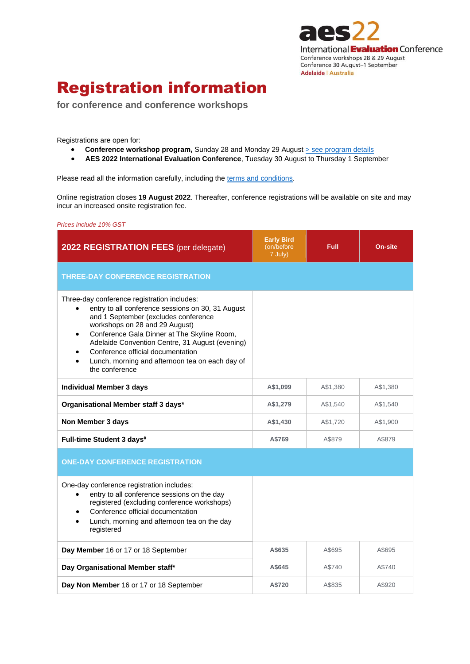

# Registration information

**for conference and conference workshops**

Registrations are open for:

- Conference workshop program, Sunday 28 and Monday 29 August > see [program details](https://conference2022.aes.asn.au/index.php/the-conference/conference-workshop-program)
- **AES 2022 International Evaluation Conference**, Tuesday 30 August to Thursday 1 September

Please read all the information carefully, including th[e terms and conditions.](https://conference2022.aes.asn.au/index.php/registration/terms-and-conditions)

Online registration closes **19 August 2022**. Thereafter, conference registrations will be available on site and may incur an increased onsite registration fee.

*Prices include 10% GST*

| 2022 REGISTRATION FEES (per delegate)                                                                                                                                                                                                                                                                                                                                                                            | <b>Early Bird</b><br>(on/before)<br>7 July) | <b>Full</b> | <b>On-site</b> |
|------------------------------------------------------------------------------------------------------------------------------------------------------------------------------------------------------------------------------------------------------------------------------------------------------------------------------------------------------------------------------------------------------------------|---------------------------------------------|-------------|----------------|
| <b>THREE-DAY CONFERENCE REGISTRATION</b>                                                                                                                                                                                                                                                                                                                                                                         |                                             |             |                |
| Three-day conference registration includes:<br>entry to all conference sessions on 30, 31 August<br>$\bullet$<br>and 1 September (excludes conference<br>workshops on 28 and 29 August)<br>Conference Gala Dinner at The Skyline Room,<br>$\bullet$<br>Adelaide Convention Centre, 31 August (evening)<br>Conference official documentation<br>Lunch, morning and afternoon tea on each day of<br>the conference |                                             |             |                |
| <b>Individual Member 3 days</b>                                                                                                                                                                                                                                                                                                                                                                                  | A\$1,099                                    | A\$1,380    | A\$1,380       |
| Organisational Member staff 3 days*                                                                                                                                                                                                                                                                                                                                                                              | A\$1,279                                    | A\$1,540    | A\$1,540       |
| Non Member 3 days                                                                                                                                                                                                                                                                                                                                                                                                | A\$1,430                                    | A\$1,720    | A\$1,900       |
| Full-time Student 3 days <sup>#</sup>                                                                                                                                                                                                                                                                                                                                                                            | A\$769                                      | A\$879      | A\$879         |
| <b>ONE-DAY CONFERENCE REGISTRATION</b>                                                                                                                                                                                                                                                                                                                                                                           |                                             |             |                |
| One-day conference registration includes:<br>entry to all conference sessions on the day<br>$\bullet$<br>registered (excluding conference workshops)<br>Conference official documentation<br>$\bullet$<br>Lunch, morning and afternoon tea on the day<br>$\bullet$<br>registered                                                                                                                                 |                                             |             |                |
| Day Member 16 or 17 or 18 September                                                                                                                                                                                                                                                                                                                                                                              | A\$635                                      | A\$695      | A\$695         |
| Day Organisational Member staff*                                                                                                                                                                                                                                                                                                                                                                                 | A\$645                                      | A\$740      | A\$740         |
| Day Non Member 16 or 17 or 18 September                                                                                                                                                                                                                                                                                                                                                                          | A\$720                                      | A\$835      | A\$920         |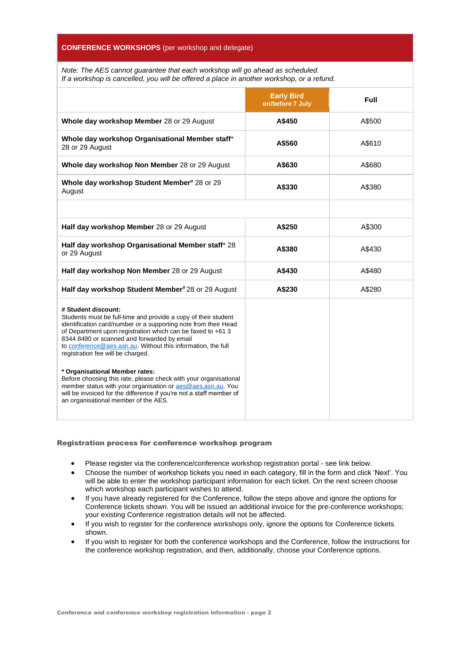# **CONFERENCE WORKSHOPS** (per workshop and delegate)

*Note: The AES cannot guarantee that each workshop will go ahead as scheduled. If a workshop is cancelled, you will be offered a place in another workshop, or a refund.*

|                                                                                                                                                                                                                                                                                                                                                                             | <b>Early Bird</b><br>on/before 7 July | <b>Full</b> |
|-----------------------------------------------------------------------------------------------------------------------------------------------------------------------------------------------------------------------------------------------------------------------------------------------------------------------------------------------------------------------------|---------------------------------------|-------------|
| Whole day workshop Member 28 or 29 August                                                                                                                                                                                                                                                                                                                                   | A\$450                                | A\$500      |
| Whole day workshop Organisational Member staff*<br>28 or 29 August                                                                                                                                                                                                                                                                                                          | A\$560                                | A\$610      |
| Whole day workshop Non Member 28 or 29 August                                                                                                                                                                                                                                                                                                                               | A\$630                                | A\$680      |
| Whole day workshop Student Member# 28 or 29<br>August                                                                                                                                                                                                                                                                                                                       | A\$330                                | A\$380      |
|                                                                                                                                                                                                                                                                                                                                                                             |                                       |             |
| Half day workshop Member 28 or 29 August                                                                                                                                                                                                                                                                                                                                    | A\$250                                | A\$300      |
| Half day workshop Organisational Member staff* 28<br>or 29 August                                                                                                                                                                                                                                                                                                           | A\$380                                | A\$430      |
| Half day workshop Non Member 28 or 29 August                                                                                                                                                                                                                                                                                                                                | A\$430                                | A\$480      |
| Half day workshop Student Member#28 or 29 August                                                                                                                                                                                                                                                                                                                            | A\$230                                | A\$280      |
| # Student discount:<br>Students must be full-time and provide a copy of their student<br>identification card/number or a supporting note from their Head<br>of Department upon registration which can be faxed to +61 3<br>8344 8490 or scanned and forwarded by email<br>to conference@aes.asn.au. Without this information, the full<br>registration fee will be charged. |                                       |             |
| * Organisational Member rates:<br>Before choosing this rate, please check with your organisational<br>member status with your organisation or aes@aes.asn.au. You<br>will be invoiced for the difference if you're not a staff member of<br>an organisational member of the AES.                                                                                            |                                       |             |

# Registration process for conference workshop program

- Please register via the conference/conference workshop registration portal see link below.
- Choose the number of workshop tickets you need in each category, fill in the form and click 'Next'. You will be able to enter the workshop participant information for each ticket. On the next screen choose which workshop each participant wishes to attend.
- If you have already registered for the Conference, follow the steps above and ignore the options for Conference tickets shown. You will be issued an additional invoice for the pre-conference workshops; your existing Conference registration details will not be affected.
- If you wish to register for the conference workshops only, ignore the options for Conference tickets shown.
- If you wish to register for both the conference workshops and the Conference, follow the instructions for the conference workshop registration, and then, additionally, choose your Conference options.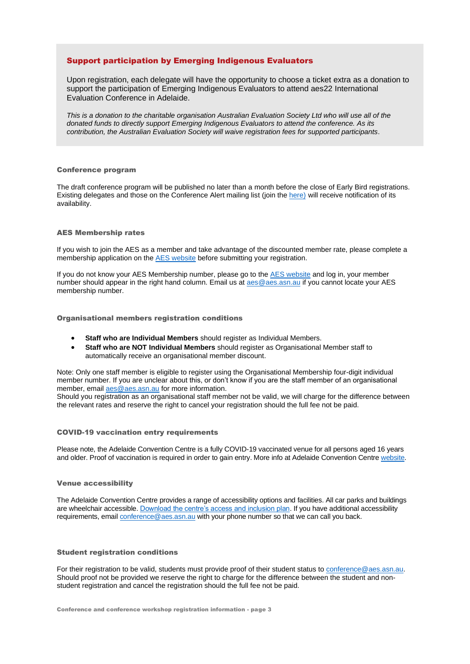# Support participation by Emerging Indigenous Evaluators

Upon registration, each delegate will have the opportunity to choose a ticket extra as a donation to support the participation of Emerging Indigenous Evaluators to attend aes22 International Evaluation Conference in Adelaide.

*This is a donation to the charitable organisation Australian Evaluation Society Ltd who will use all of the donated funds to directly support Emerging Indigenous Evaluators to attend the conference. As its contribution, the Australian Evaluation Society will waive registration fees for supported participants*.

# Conference program

The draft conference program will be published no later than a month before the close of Early Bird registrations. Existing delegates and those on the Conference Alert mailing list (join the [here\)](https://www.aes.asn.au/subscribe-to-aes-e-news) will receive notification of its availability.

# AES Membership rates

If you wish to join the AES as a member and take advantage of the discounted member rate, please complete a membership application on the [AES website](https://www.aes.asn.au/become-a-member) before submitting your registration.

If you do not know your AES Membership number, please go to the [AES website](http://www.aes.asn.au/) and log in, your member number should appear in the right hand column. Email us at [aes@aes.asn.au](mailto:aes@aes.asn.au) if you cannot locate your AES membership number.

Organisational members registration conditions

- **Staff who are Individual Members** should register as Individual Members.
- **Staff who are NOT Individual Members** should register as Organisational Member staff to automatically receive an organisational member discount.

Note: Only one staff member is eligible to register using the Organisational Membership four-digit individual member number. If you are unclear about this, or don't know if you are the staff member of an organisational member, email [aes@aes.asn.au](mailto:aes@aes.asn.au) for more information.

Should you registration as an organisational staff member not be valid, we will charge for the difference between the relevant rates and reserve the right to cancel your registration should the full fee not be paid.

#### COVID-19 vaccination entry requirements

Please note, the Adelaide Convention Centre is a fully COVID-19 vaccinated venue for all persons aged 16 years and older. Proof of vaccination is required in order to gain entry. More info at Adelaide Convention Centre [website.](https://www.adelaidecc.com.au/covid-19-coronavirus-update/)

#### Venue accessibility

The Adelaide Convention Centre provides a range of accessibility options and facilities. All car parks and buildings are wheelchair accessible. [Download the centre's access and inclusion plan.](https://www.adelaidecc.com.au/content/uploads/2021/07/ACC-Access-and-Inclusion-Plan.pdf) If you have additional accessibility requirements, email [conference@aes.asn.au](mailto:conference@aes.asn.au) with your phone number so that we can call you back.

## Student registration conditions

For their registration to be valid, students must provide proof of their student status to [conference@aes.asn.au.](mailto:conference@aes.asn.au) Should proof not be provided we reserve the right to charge for the difference between the student and nonstudent registration and cancel the registration should the full fee not be paid.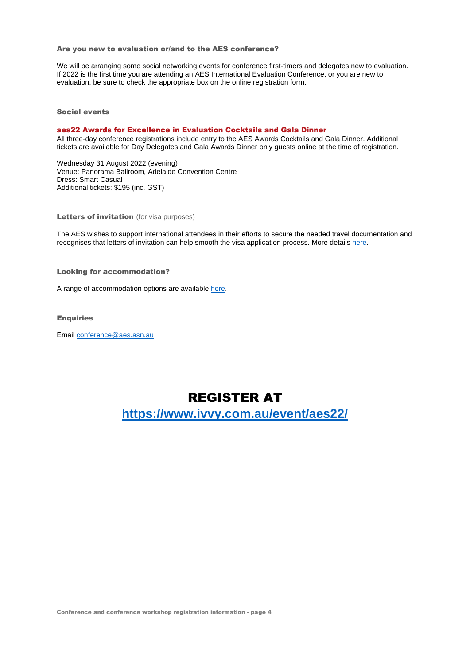# Are you new to evaluation or/and to the AES conference?

We will be arranging some social networking events for conference first-timers and delegates new to evaluation. If 2022 is the first time you are attending an AES International Evaluation Conference, or you are new to evaluation, be sure to check the appropriate box on the online registration form.

Social events

#### aes22 Awards for Excellence in Evaluation Cocktails and Gala Dinner

All three-day conference registrations include entry to the AES Awards Cocktails and Gala Dinner. Additional tickets are available for Day Delegates and Gala Awards Dinner only guests online at the time of registration.

Wednesday 31 August 2022 (evening) Venue: Panorama Ballroom, Adelaide Convention Centre Dress: Smart Casual Additional tickets: \$195 (inc. GST)

Letters of invitation (for visa purposes)

The AES wishes to support international attendees in their efforts to secure the needed travel documentation and recognises that letters of invitation can help smooth the visa application process. More details [here.](https://conference2022.aes.asn.au/index.php/registration/letter-of-invitation-visa)

# Looking for accommodation?

A range of accommodation options are available [here.](https://conference2022.aes.asn.au/index.php/registration/accommodation)

## **Enquiries**

Email [conference@aes.asn.au](mailto:conference@aes.asn.au)

# REGISTER AT

**https://www.ivvy.com.au/event/aes22/**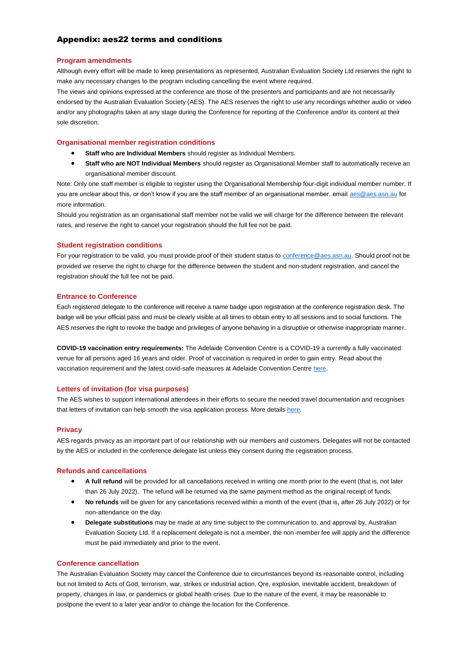# Appendix: aes22 terms and conditions

# **Program amendments**

Although every effort will be made to keep presentations as represented, Australian Evaluation Society Ltd reserves the right to make any necessary changes to the program including cancelling the event where required.

The views and opinions expressed at the conference are those of the presenters and participants and are not necessarily endorsed by the Australian Evaluation Society (AES). The AES reserves the right to use any recordings whether audio or video and/or any photographs taken at any stage during the Conference for reporting of the Conference and/or its content at their sole discretion.

# **Organisational member registration conditions**

- **Staff who are Individual Members** should register as Individual Members.
- **Staff who are NOT Individual Members** should register as Organisational Member staff to automatically receive an organisational member discount.

Note: Only one staff member is eligible to register using the Organisational Membership four-digit individual member number. If you are unclear about this, or don't know if you are the staff member of an organisational member, email [aes@aes.asn.au](mailto:aes@aes.asn.au) for more information.

Should you registration as an organisational staff member not be valid we will charge for the difference between the relevant rates, and reserve the right to cancel your registration should the full fee not be paid.

# **Student registration conditions**

For your registration to be valid, you must provide proof of their student status to [conference@aes.asn.au.](mailto:conference@aes.asn.au) Should proof not be provided we reserve the right to charge for the difference between the student and non-student registration, and cancel the registration should the full fee not be paid.

# **Entrance to Conference**

Each registered delegate to the conference will receive a name badge upon registration at the conference registration desk. The badge will be your official pass and must be clearly visible at all times to obtain entry to all sessions and to social functions. The AES reserves the right to revoke the badge and privileges of anyone behaving in a disruptive or otherwise inappropriate manner.

**COVID-19 vaccination entry requirements:** The Adelaide Convention Centre is a COVID-19 a currently a fully vaccinated venue for all persons aged 16 years and older. Proof of vaccination is required in order to gain entry. Read about the vaccination requirement and the latest covid-safe measures at Adelaide Convention Centre [here.](https://www.adelaidecc.com.au/covid-19-coronavirus-update/)

# **Letters of invitation (for visa purposes)**

The AES wishes to support international attendees in their efforts to secure the needed travel documentation and recognises that letters of invitation can help smooth the visa application process. More details [here.](https://conference2022.aes.asn.au/index.php/registration/letter-of-invitation-visa)

# **Privacy**

AES regards privacy as an important part of our relationship with our members and customers. Delegates will not be contacted by the AES or included in the conference delegate list unless they consent during the registration process.

#### **Refunds and cancellations**

- **A full refund** will be provided for all cancellations received in writing one month prior to the event (that is, not later than 26 July 2022). The refund will be returned via the same payment method as the original receipt of funds.
- **No refunds** will be given for any cancellations received within a month of the event (that is, after 26 July 2022) or for non-attendance on the day.
- **Delegate substitutions** may be made at any time subject to the communication to, and approval by, Australian Evaluation Society Ltd. If a replacement delegate is not a member, the non-member fee will apply and the difference must be paid immediately and prior to the event.

# **Conference cancellation**

The Australian Evaluation Society may cancel the Conference due to circumstances beyond its reasonable control, including but not limited to Acts of God, terrorism, war, strikes or industrial action, Qre, explosion, inevitable accident, breakdown of property, changes in law, or pandemics or global health crises. Due to the nature of the event, it may be reasonable to postpone the event to a later year and/or to change the location for the Conference.